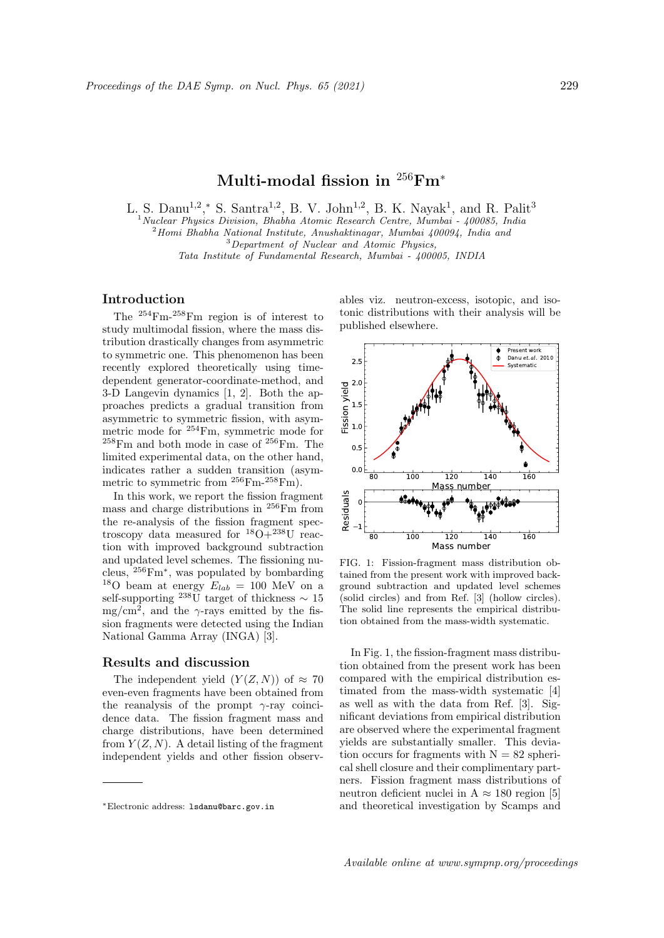# Multi-modal fission in  $256$ Fm<sup>\*</sup>

L. S. Danu<sup>1,2</sup>,\* S. Santra<sup>1,2</sup>, B. V. John<sup>1,2</sup>, B. K. Nayak<sup>1</sup>, and R. Palit<sup>3</sup>

 $1$ Nuclear Physics Division, Bhabha Atomic Research Centre, Mumbai - 400085, India

<sup>2</sup>Homi Bhabha National Institute, Anushaktinagar, Mumbai 400094, India and

 $3$ Department of Nuclear and Atomic Physics,

Tata Institute of Fundamental Research, Mumbai - 400005, INDIA

## Introduction

The <sup>254</sup>Fm-258Fm region is of interest to study multimodal fission, where the mass distribution drastically changes from asymmetric to symmetric one. This phenomenon has been recently explored theoretically using timedependent generator-coordinate-method, and 3-D Langevin dynamics [1, 2]. Both the approaches predicts a gradual transition from asymmetric to symmetric fission, with asymmetric mode for <sup>254</sup>Fm, symmetric mode for  $258$ Fm and both mode in case of  $256$ Fm. The limited experimental data, on the other hand, indicates rather a sudden transition (asymmetric to symmetric from  $^{256}$ Fm- $^{258}$ Fm).

In this work, we report the fission fragment mass and charge distributions in <sup>256</sup>Fm from the re-analysis of the fission fragment spectroscopy data measured for  $^{18}O+^{238}U$  reaction with improved background subtraction and updated level schemes. The fissioning nucleus, <sup>256</sup>Fm<sup>∗</sup> , was populated by bombarding <sup>18</sup>O beam at energy  $E_{lab} = 100$  MeV on a self-supporting <sup>238</sup>U target of thickness  $\sim 15$ mg/cm<sup>2</sup>, and the  $\gamma$ -rays emitted by the fission fragments were detected using the Indian National Gamma Array (INGA) [3].

#### Results and discussion

The independent yield  $(Y(Z, N))$  of  $\approx 70$ even-even fragments have been obtained from the reanalysis of the prompt  $\gamma$ -ray coincidence data. The fission fragment mass and charge distributions, have been determined from  $Y(Z, N)$ . A detail listing of the fragment independent yields and other fission observables viz. neutron-excess, isotopic, and isotonic distributions with their analysis will be published elsewhere.



FIG. 1: Fission-fragment mass distribution obtained from the present work with improved background subtraction and updated level schemes (solid circles) and from Ref. [3] (hollow circles). The solid line represents the empirical distribution obtained from the mass-width systematic.

In Fig. 1, the fission-fragment mass distribution obtained from the present work has been compared with the empirical distribution estimated from the mass-width systematic [4] as well as with the data from Ref. [3]. Significant deviations from empirical distribution are observed where the experimental fragment yields are substantially smaller. This deviation occurs for fragments with  $N = 82$  spherical shell closure and their complimentary partners. Fission fragment mass distributions of neutron deficient nuclei in A  $\approx$  180 region [5] and theoretical investigation by Scamps and

<sup>∗</sup>Electronic address: lsdanu@barc.gov.in